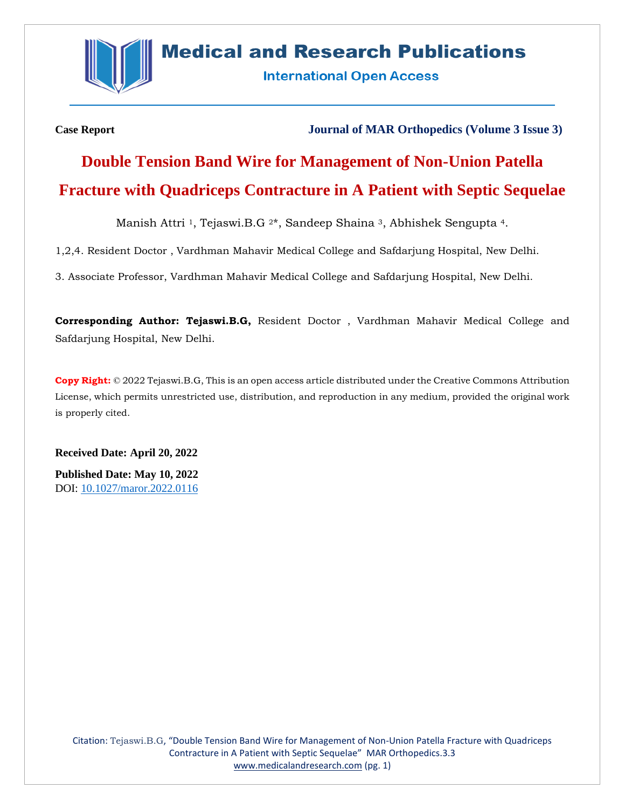

## **Medical and Research Publications**

**International Open Access** 

**Case Report Journal of MAR Orthopedics (Volume 3 Issue 3)**

# **Double Tension Band Wire for Management of Non-Union Patella Fracture with Quadriceps Contracture in A Patient with Septic Sequelae**

Manish Attri 1, Tejaswi.B.G 2\*, Sandeep Shaina 3, Abhishek Sengupta 4.

1,2,4. Resident Doctor , Vardhman Mahavir Medical College and Safdarjung Hospital, New Delhi.

3. Associate Professor, Vardhman Mahavir Medical College and Safdarjung Hospital, New Delhi.

**Corresponding Author: Tejaswi.B.G,** Resident Doctor , Vardhman Mahavir Medical College and Safdarjung Hospital, New Delhi.

**Copy Right:** © 2022 Tejaswi.B.G, This is an open access article distributed under the Creative Commons Attribution License, which permits unrestricted use, distribution, and reproduction in any medium, provided the original work is properly cited.

**Received Date: April 20, 2022 Published Date: May 10, 2022** DOI: [10.1027/maror.2022.0116](https://www.medicalandresearch.com/assets/articles/documents/DOCUMENT_20220505115425.pdf)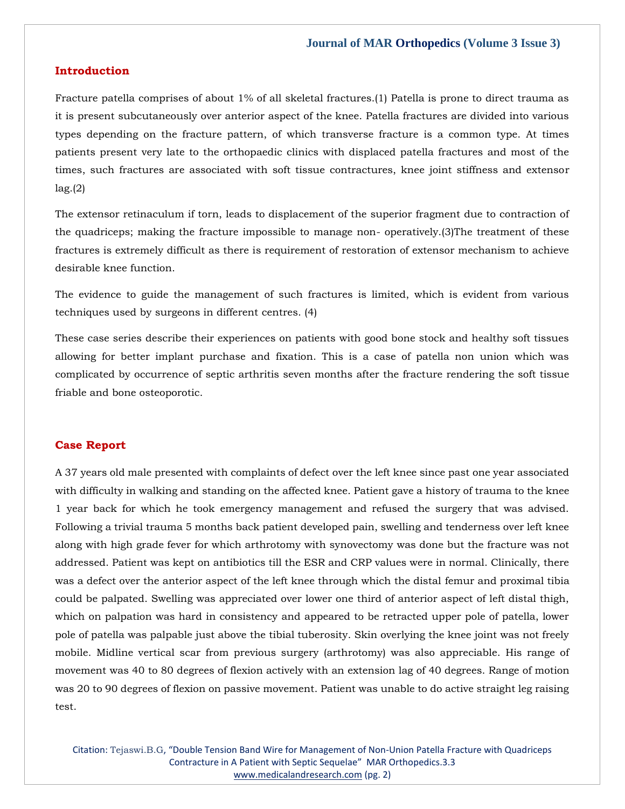#### **Introduction**

Fracture patella comprises of about 1% of all skeletal fractures.(1) Patella is prone to direct trauma as it is present subcutaneously over anterior aspect of the knee. Patella fractures are divided into various types depending on the fracture pattern, of which transverse fracture is a common type. At times patients present very late to the orthopaedic clinics with displaced patella fractures and most of the times, such fractures are associated with soft tissue contractures, knee joint stiffness and extensor lag.(2)

The extensor retinaculum if torn, leads to displacement of the superior fragment due to contraction of the quadriceps; making the fracture impossible to manage non- operatively.(3)The treatment of these fractures is extremely difficult as there is requirement of restoration of extensor mechanism to achieve desirable knee function.

The evidence to guide the management of such fractures is limited, which is evident from various techniques used by surgeons in different centres. (4)

These case series describe their experiences on patients with good bone stock and healthy soft tissues allowing for better implant purchase and fixation. This is a case of patella non union which was complicated by occurrence of septic arthritis seven months after the fracture rendering the soft tissue friable and bone osteoporotic.

#### **Case Report**

A 37 years old male presented with complaints of defect over the left knee since past one year associated with difficulty in walking and standing on the affected knee. Patient gave a history of trauma to the knee 1 year back for which he took emergency management and refused the surgery that was advised. Following a trivial trauma 5 months back patient developed pain, swelling and tenderness over left knee along with high grade fever for which arthrotomy with synovectomy was done but the fracture was not addressed. Patient was kept on antibiotics till the ESR and CRP values were in normal. Clinically, there was a defect over the anterior aspect of the left knee through which the distal femur and proximal tibia could be palpated. Swelling was appreciated over lower one third of anterior aspect of left distal thigh, which on palpation was hard in consistency and appeared to be retracted upper pole of patella, lower pole of patella was palpable just above the tibial tuberosity. Skin overlying the knee joint was not freely mobile. Midline vertical scar from previous surgery (arthrotomy) was also appreciable. His range of movement was 40 to 80 degrees of flexion actively with an extension lag of 40 degrees. Range of motion was 20 to 90 degrees of flexion on passive movement. Patient was unable to do active straight leg raising test.

Citation: Tejaswi.B.G, "Double Tension Band Wire for Management of Non-Union Patella Fracture with Quadriceps Contracture in A Patient with Septic Sequelae" MAR Orthopedics.3.3 [www.medicalandresearch.com](http://www.medicalandresearch.com/) (pg. 2)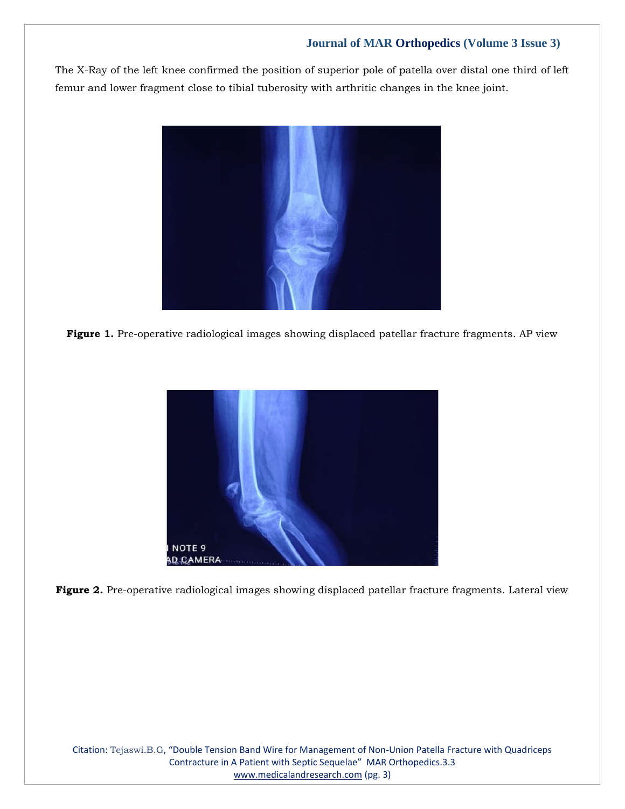The X-Ray of the left knee confirmed the position of superior pole of patella over distal one third of left femur and lower fragment close to tibial tuberosity with arthritic changes in the knee joint.









Citation: Tejaswi.B.G, "Double Tension Band Wire for Management of Non-Union Patella Fracture with Quadriceps Contracture in A Patient with Septic Sequelae" MAR Orthopedics.3.3 [www.medicalandresearch.com](http://www.medicalandresearch.com/) (pg. 3)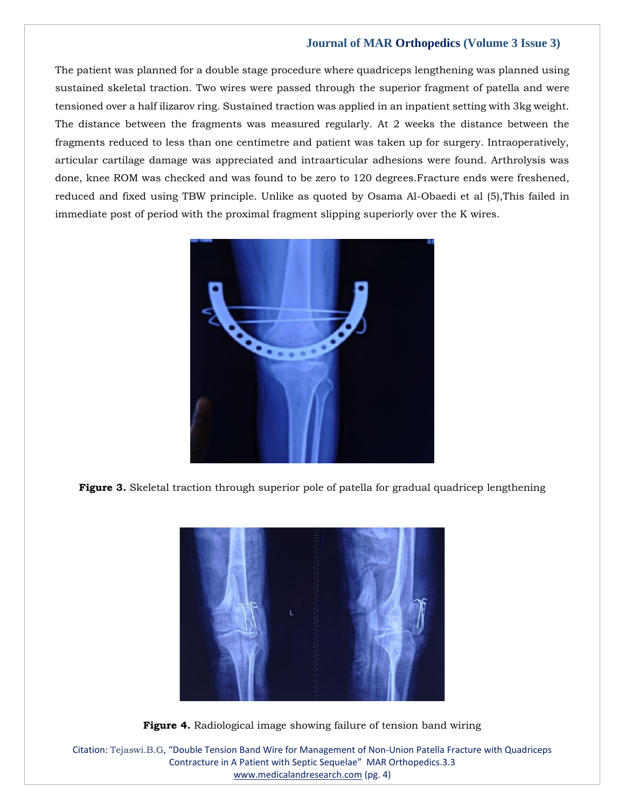The patient was planned for a double stage procedure where quadriceps lengthening was planned using sustained skeletal traction. Two wires were passed through the superior fragment of patella and were tensioned over a half ilizarov ring. Sustained traction was applied in an inpatient setting with 3kg weight. The distance between the fragments was measured regularly. At 2 weeks the distance between the fragments reduced to less than one centimetre and patient was taken up for surgery. Intraoperatively, articular cartilage damage was appreciated and intraarticular adhesions were found. Arthrolysis was done, knee ROM was checked and was found to be zero to 120 degrees.Fracture ends were freshened, reduced and fixed using TBW principle. Unlike as quoted by Osama Al-Obaedi et al (5),This failed in immediate post of period with the proximal fragment slipping superiorly over the K wires.



**Figure 3.** Skeletal traction through superior pole of patella for gradual quadricep lengthening



**Figure 4.** Radiological image showing failure of tension band wiring

Citation: Tejaswi.B.G, "Double Tension Band Wire for Management of Non-Union Patella Fracture with Quadriceps Contracture in A Patient with Septic Sequelae" MAR Orthopedics.3.3 [www.medicalandresearch.com](http://www.medicalandresearch.com/) (pg. 4)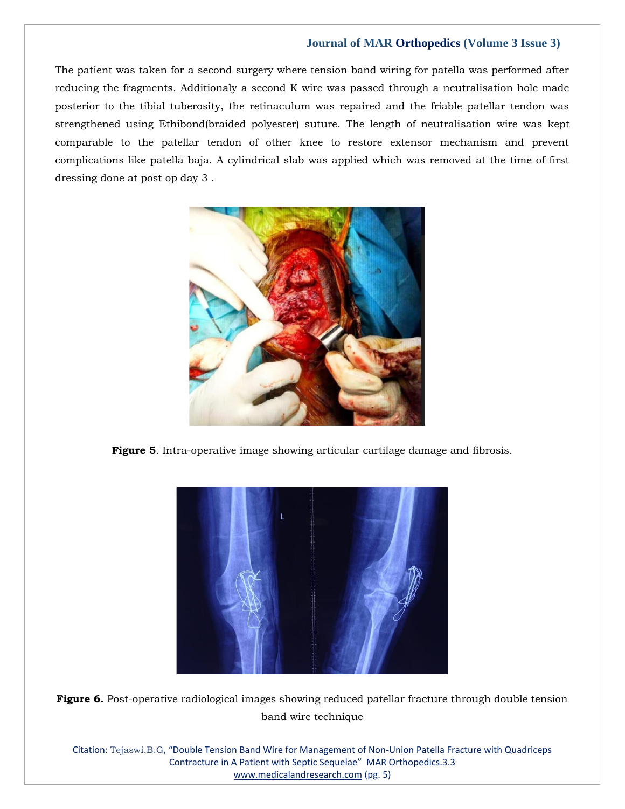The patient was taken for a second surgery where tension band wiring for patella was performed after reducing the fragments. Additionaly a second K wire was passed through a neutralisation hole made posterior to the tibial tuberosity, the retinaculum was repaired and the friable patellar tendon was strengthened using Ethibond(braided polyester) suture. The length of neutralisation wire was kept comparable to the patellar tendon of other knee to restore extensor mechanism and prevent complications like patella baja. A cylindrical slab was applied which was removed at the time of first dressing done at post op day 3 .



**Figure 5**. Intra-operative image showing articular cartilage damage and fibrosis.



**Figure 6.** Post-operative radiological images showing reduced patellar fracture through double tension band wire technique

Citation: Tejaswi.B.G, "Double Tension Band Wire for Management of Non-Union Patella Fracture with Quadriceps Contracture in A Patient with Septic Sequelae" MAR Orthopedics.3.3 [www.medicalandresearch.com](http://www.medicalandresearch.com/) (pg. 5)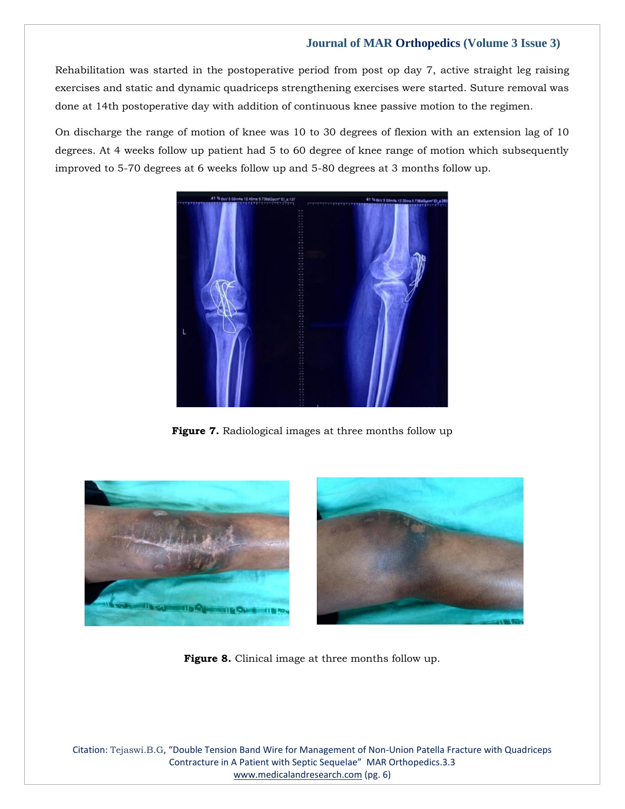Rehabilitation was started in the postoperative period from post op day 7, active straight leg raising exercises and static and dynamic quadriceps strengthening exercises were started. Suture removal was done at 14th postoperative day with addition of continuous knee passive motion to the regimen.

On discharge the range of motion of knee was 10 to 30 degrees of flexion with an extension lag of 10 degrees. At 4 weeks follow up patient had 5 to 60 degree of knee range of motion which subsequently improved to 5-70 degrees at 6 weeks follow up and 5-80 degrees at 3 months follow up.



**Figure 7.** Radiological images at three months follow up





**Figure 8.** Clinical image at three months follow up.

Citation: Tejaswi.B.G, "Double Tension Band Wire for Management of Non-Union Patella Fracture with Quadriceps Contracture in A Patient with Septic Sequelae" MAR Orthopedics.3.3 [www.medicalandresearch.com](http://www.medicalandresearch.com/) (pg. 6)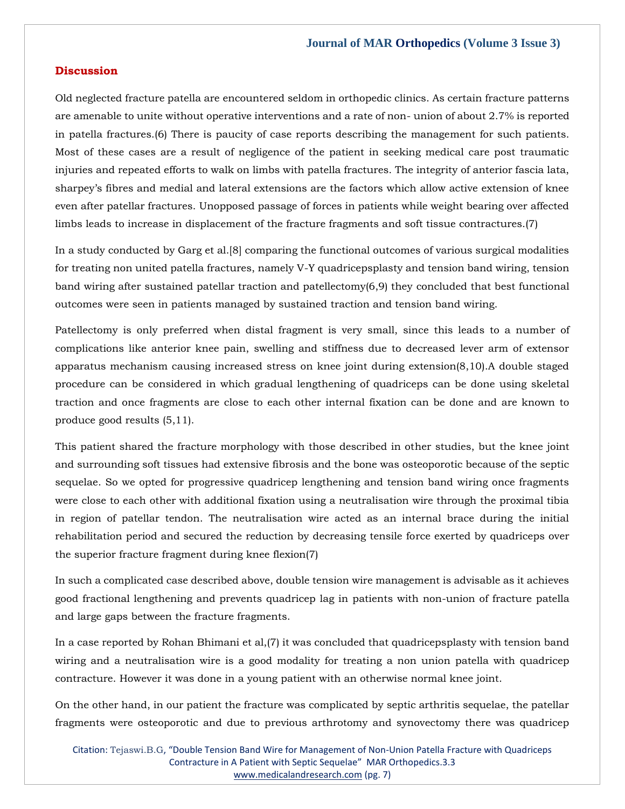#### **Discussion**

Old neglected fracture patella are encountered seldom in orthopedic clinics. As certain fracture patterns are amenable to unite without operative interventions and a rate of non- union of about 2.7% is reported in patella fractures.(6) There is paucity of case reports describing the management for such patients. Most of these cases are a result of negligence of the patient in seeking medical care post traumatic injuries and repeated efforts to walk on limbs with patella fractures. The integrity of anterior fascia lata, sharpey's fibres and medial and lateral extensions are the factors which allow active extension of knee even after patellar fractures. Unopposed passage of forces in patients while weight bearing over affected limbs leads to increase in displacement of the fracture fragments and soft tissue contractures.(7)

In a study conducted by Garg et al.[8] comparing the functional outcomes of various surgical modalities for treating non united patella fractures, namely V-Y quadricepsplasty and tension band wiring, tension band wiring after sustained patellar traction and patellectomy(6,9) they concluded that best functional outcomes were seen in patients managed by sustained traction and tension band wiring.

Patellectomy is only preferred when distal fragment is very small, since this leads to a number of complications like anterior knee pain, swelling and stiffness due to decreased lever arm of extensor apparatus mechanism causing increased stress on knee joint during extension(8,10).A double staged procedure can be considered in which gradual lengthening of quadriceps can be done using skeletal traction and once fragments are close to each other internal fixation can be done and are known to produce good results (5,11).

This patient shared the fracture morphology with those described in other studies, but the knee joint and surrounding soft tissues had extensive fibrosis and the bone was osteoporotic because of the septic sequelae. So we opted for progressive quadricep lengthening and tension band wiring once fragments were close to each other with additional fixation using a neutralisation wire through the proximal tibia in region of patellar tendon. The neutralisation wire acted as an internal brace during the initial rehabilitation period and secured the reduction by decreasing tensile force exerted by quadriceps over the superior fracture fragment during knee flexion(7)

In such a complicated case described above, double tension wire management is advisable as it achieves good fractional lengthening and prevents quadricep lag in patients with non-union of fracture patella and large gaps between the fracture fragments.

In a case reported by Rohan Bhimani et al,(7) it was concluded that quadricepsplasty with tension band wiring and a neutralisation wire is a good modality for treating a non union patella with quadricep contracture. However it was done in a young patient with an otherwise normal knee joint.

On the other hand, in our patient the fracture was complicated by septic arthritis sequelae, the patellar fragments were osteoporotic and due to previous arthrotomy and synovectomy there was quadricep